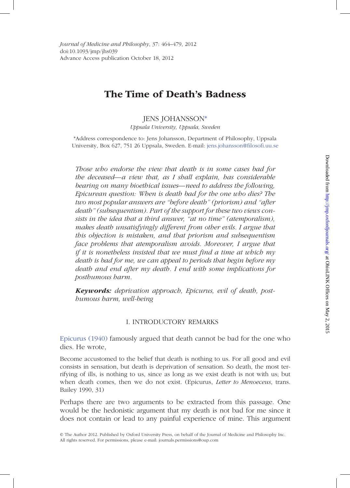# The Time of Death's Badness

## JENS JOHANSSON[\\*](#page-0-0)

*Uppsala University, Uppsala, Sweden*

<span id="page-0-0"></span>\*Address correspondence to: Jens Johansson, Department of Philosophy, Uppsala University, Box 627, 751 26 Uppsala, Sweden. E-mail: [jens.johansson@filosofi.uu.se](mailto:jens.johansson@filosofi.uu.se)

*Those who endorse the view that death is in some cases bad for the deceased—a view that, as I shall explain, has considerable bearing on many bioethical issues—need to address the following, Epicurean question: When is death bad for the one who dies? The two most popular answers are "before death" (priorism) and "after death" (subsequentism). Part of the support for these two views consists in the idea that a third answer, "at no time" (atemporalism), makes death unsatisfyingly different from other evils. I argue that this objection is mistaken, and that priorism and subsequentism face problems that atemporalism avoids. Moreover, I argue that if it is nonetheless insisted that we must find a time at which my death is bad for me, we can appeal to periods that begin before my death and end after my death. I end with some implications for posthumous harm.*

*Keywords: deprivation approach, Epicurus, evil of death, posthumous harm, well-being*

## I. INTRODUCTORY REMARKS

[Epicurus \(1940\)](#page-14-0) famously argued that death cannot be bad for the one who dies. He wrote,

Become accustomed to the belief that death is nothing to us. For all good and evil consists in sensation, but death is deprivation of sensation. So death, the most terrifying of ills, is nothing to us, since as long as we exist death is not with us; but when death comes, then we do not exist. (Epicurus, *Letter to Menoeceus*, trans. Bailey 1990, 31)

Perhaps there are two arguments to be extracted from this passage. One would be the hedonistic argument that my death is not bad for me since it does not contain or lead to any painful experience of mine. This argument

<sup>©</sup> The Author 2012. Published by Oxford University Press, on behalf of the Journal of Medicine and Philosophy Inc. All rights reserved. For permissions, please e-mail: journals.permissions@oup.com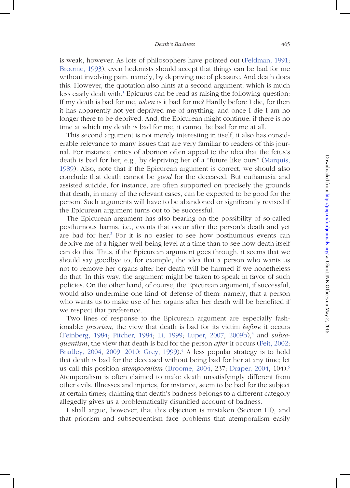is weak, however. As lots of philosophers have pointed out ([Feldman, 1991](#page-14-1); [Broome, 1993\)](#page-14-2), even hedonists should accept that things can be bad for me without involving pain, namely, by depriving me of pleasure. And death does this. However, the quotation also hints at a second argument, which is much less easily dealt with.<sup>1</sup> Epicurus can be read as raising the following question: If my death is bad for me, *when* is it bad for me? Hardly before I die, for then it has apparently not yet deprived me of anything; and once I die I am no longer there to be deprived. And, the Epicurean might continue, if there is no time at which my death is bad for me, it cannot be bad for me at all.

This second argument is not merely interesting in itself; it also has considerable relevance to many issues that are very familiar to readers of this journal. For instance, critics of abortion often appeal to the idea that the fetus's death is bad for her, e.g., by depriving her of a "future like ours" ([Marquis,](#page-14-3)  [1989\)](#page-14-3). Also, note that if the Epicurean argument is correct, we should also conclude that death cannot be *good* for the deceased. But euthanasia and assisted suicide, for instance, are often supported on precisely the grounds that death, in many of the relevant cases, can be expected to be good for the person. Such arguments will have to be abandoned or significantly revised if the Epicurean argument turns out to be successful.

The Epicurean argument has also bearing on the possibility of so-called posthumous harms, i.e., events that occur after the person's death and yet are bad for her.<sup>2</sup> For it is no easier to see how posthumous events can deprive me of a higher well-being level at a time than to see how death itself can do this. Thus, if the Epicurean argument goes through, it seems that we should say goodbye to, for example, the idea that a person who wants us not to remove her organs after her death will be harmed if we nonetheless do that. In this way, the argument might be taken to speak in favor of such policies. On the other hand, of course, the Epicurean argument, if successful, would also undermine one kind of defense of them: namely, that a person who wants us to make use of her organs after her death will be benefited if we respect that preference.

Two lines of response to the Epicurean argument are especially fashionable: *priorism*, the view that death is bad for its victim *before* it occurs ([Feinberg, 1984](#page-14-4); [Pitcher, 1984;](#page-14-5) [Li, 1999;](#page-14-6) [Luper, 2007,](#page-14-7) [2009b](#page-14-8)),[3](#page-13-2) and *subsequentism*, the view that death is bad for the person *after* it occurs [\(Feit, 2002](#page-14-9); [Bradley, 2004](#page-14-10), [2009,](#page-14-11) [2010;](#page-14-12) [Grey, 1999\)](#page-14-13).<sup>4</sup> A less popular strategy is to hold that death is bad for the deceased without being bad for her at any time; let us call this position *atemporalism* [\(Broome, 2004,](#page-14-14) 237; [Draper, 2004,](#page-14-15) 104).<sup>[5](#page-13-4)</sup> Atemporalism is often claimed to make death unsatisfyingly different from other evils. Illnesses and injuries, for instance, seem to be bad for the subject at certain times; claiming that death's badness belongs to a different category allegedly gives us a problematically disunified account of badness.

I shall argue, however, that this objection is mistaken (Section III), and that priorism and subsequentism face problems that atemporalism easily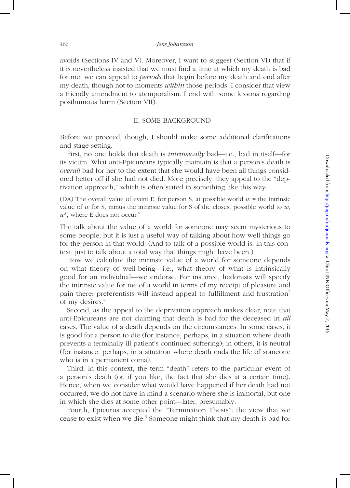avoids (Sections IV and V). Moreover, I want to suggest (Section VI) that if it is nevertheless insisted that we must find a time at which my death is bad for me, we can appeal to *periods* that begin before my death and end after my death, though not to moments *within* those periods. I consider that view a friendly amendment to atemporalism. I end with some lessons regarding posthumous harm (Section VII).

## II. SOME BACKGROUND

Before we proceed, though, I should make some additional clarifications and stage setting.

First, no one holds that death is *intrinsically* bad—i.e., bad in itself—for its victim. What anti-Epicureans typically maintain is that a person's death is *overall* bad for her to the extent that she would have been all things considered better off if she had not died. More precisely, they appeal to the "deprivation approach," which is often stated in something like this way:

(DA) The overall value of event E, for person S, at possible world  $w =$  the intrinsic value of  $w$  for S, minus the intrinsic value for S of the closest possible world to  $w$ ,  $w^*$ , where E does not occur.<sup>6</sup>

The talk about the value of a world for someone may seem mysterious to some people, but it is just a useful way of talking about how well things go for the person in that world. (And to talk of a possible world is, in this context, just to talk about a total way that things might have been.)

How we calculate the intrinsic value of a world for someone depends on what theory of well-being—i.e., what theory of what is intrinsically good for an individual—we endorse. For instance, hedonists will specify the intrinsic value for me of a world in terms of my receipt of pleasure and pain there; preferentists will instead appeal to fulfillment and frustration<sup>7</sup> of my desires.<sup>[8](#page-13-7)</sup>

Second, as the appeal to the deprivation approach makes clear, note that anti-Epicureans are not claiming that death is bad for the deceased in *all* cases. The value of a death depends on the circumstances. In some cases, it is good for a person to die (for instance, perhaps, in a situation where death prevents a terminally ill patient's continued suffering); in others, it is neutral (for instance, perhaps, in a situation where death ends the life of someone who is in a permanent coma).

Third, in this context, the term "death" refers to the particular event of a person's death (or, if you like, the fact that she dies at a certain time). Hence, when we consider what would have happened if her death had not occurred, we do not have in mind a scenario where she is immortal, but one in which she dies at some other point—later, presumably.

Fourth, Epicurus accepted the "Termination Thesis": the view that we cease to exist when we die.<sup>9</sup> Someone might think that my death is bad for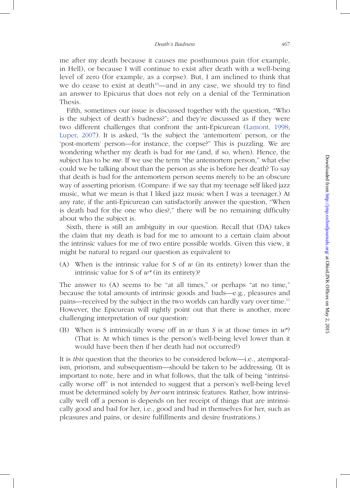me after my death because it causes me posthumous pain (for example, in Hell), or because I will continue to exist after death with a well-being level of zero (for example, as a corpse). But, I am inclined to think that we do cease to exist at death<sup>10</sup>—and in any case, we should try to find an answer to Epicurus that does not rely on a denial of the Termination Thesis.

Fifth, sometimes our issue is discussed together with the question, "Who is the subject of death's badness?"; and they're discussed as if they were two different challenges that confront the anti-Epicurean ([Lamont, 1998](#page-14-16); [Luper, 2007\)](#page-14-7). It is asked, "Is the subject the 'antemortem' person, or the 'post-mortem' person—for instance, the corpse?" This is puzzling. We are wondering whether my death is bad for *me* (and, if so, when). Hence, the subject has to be *me*. If we use the term "the antemortem person," what else could we be talking about than the person as she is before her death? To say that death is bad for the antemortem person seems merely to be an obscure way of asserting priorism. (Compare: if we say that my teenage self liked jazz music, what we mean is that I liked jazz music when I was a teenager.) At any rate, if the anti-Epicurean can satisfactorily answer the question, "When is death bad for the one who dies?," there will be no remaining difficulty about who the subject is.

Sixth, there is still an ambiguity in our question. Recall that (DA) takes the claim that my death is bad for me to amount to a certain claim about the intrinsic values for me of two entire possible worlds. Given this view, it might be natural to regard our question as equivalent to

(A) When is the intrinsic value for S of  $w$  (in its entirety) lower than the intrinsic value for S of *w\** (in its entirety)?

The answer to (A) seems to be "at all times," or perhaps "at no time," because the total amounts of intrinsic goods and bads—e.g., pleasures and pains—received by the subject in the two worlds can hardly vary over time.[11](#page-13-10) However, the Epicurean will rightly point out that there is another, more challenging interpretation of our question:

(B) When is S intrinsically worse off in *w* than *S* is at those times in *w*\*? (That is: At which times is the person's well-being level lower than it would have been then if her death had not occurred?)

It is *this* question that the theories to be considered below—i.e., atemporalism, priorism, and subsequentism—should be taken to be addressing. (It is important to note, here and in what follows, that the talk of being "intrinsically worse off" is not intended to suggest that a person's well-being level must be determined solely by *her own* intrinsic features. Rather, how intrinsically well off a person is depends on her receipt of things that are intrinsically good and bad for her, i.e., good and bad in themselves for her, such as pleasures and pains, or desire fulfillments and desire frustrations.)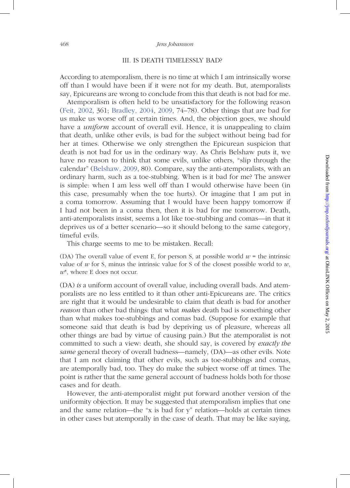#### III. IS DEATH TIMELESSLY BAD?

According to atemporalism, there is no time at which I am intrinsically worse off than I would have been if it were not for my death. But, atemporalists say, Epicureans are wrong to conclude from this that death is not bad for me.

Atemporalism is often held to be unsatisfactory for the following reason ([Feit, 2002](#page-14-9), 361; [Bradley, 2004](#page-14-10), [2009](#page-14-11), 74–78). Other things that are bad for us make us worse off at certain times. And, the objection goes, we should have a *uniform* account of overall evil. Hence, it is unappealing to claim that death, unlike other evils, is bad for the subject without being bad for her at times. Otherwise we only strengthen the Epicurean suspicion that death is not bad for us in the ordinary way. As Chris Belshaw puts it, we have no reason to think that some evils, unlike others, "slip through the calendar" ([Belshaw, 2009](#page-14-17), 80). Compare, say the anti-atemporalists, with an ordinary harm, such as a toe-stubbing. When is it bad for me? The answer is simple: when I am less well off than I would otherwise have been (in this case, presumably when the toe hurts). Or imagine that I am put in a coma tomorrow. Assuming that I would have been happy tomorrow if I had not been in a coma then, then it is bad for me tomorrow. Death, anti-atemporalists insist, seems a lot like toe-stubbing and comas—in that it deprives us of a better scenario—so it should belong to the same category, timeful evils.

This charge seems to me to be mistaken. Recall:

(DA) The overall value of event E, for person S, at possible world  $w =$  the intrinsic value of  $w$  for S, minus the intrinsic value for S of the closest possible world to  $w$ , *w*\*, where E does not occur.

(DA) *is* a uniform account of overall value, including overall bads. And atemporalists are no less entitled to it than other anti-Epicureans are. The critics are right that it would be undesirable to claim that death is bad for another *reason* than other bad things: that what *makes* death bad is something other than what makes toe-stubbings and comas bad. (Suppose for example that someone said that death is bad by depriving us of pleasure, whereas all other things are bad by virtue of causing pain.) But the atemporalist is not committed to such a view: death, she should say, is covered by *exactly the same* general theory of overall badness—namely, (DA)—as other evils. Note that I am not claiming that other evils, such as toe-stubbings and comas, are atemporally bad, too. They do make the subject worse off at times. The point is rather that the same general account of badness holds both for those cases and for death.

However, the anti-atemporalist might put forward another version of the uniformity objection. It may be suggested that atemporalism implies that one and the same relation—the "x is bad for y" relation—holds at certain times in other cases but atemporally in the case of death. That may be like saying,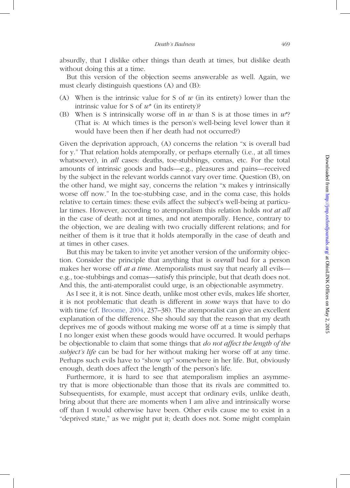absurdly, that I dislike other things than death at times, but dislike death without doing this at a time.

But this version of the objection seems answerable as well. Again, we must clearly distinguish questions (A) and (B):

- (A) When is the intrinsic value for S of *w* (in its entirety) lower than the intrinsic value for S of *w*\* (in its entirety)?
- (B) When is S intrinsically worse off in  $w$  than S is at those times in  $w^*$ ? (That is: At which times is the person's well-being level lower than it would have been then if her death had not occurred?)

Given the deprivation approach, (A) concerns the relation "x is overall bad for y." That relation holds atemporally, or perhaps eternally (i.e., at all times whatsoever), in *all* cases: deaths, toe-stubbings, comas, etc. For the total amounts of intrinsic goods and bads—e.g., pleasures and pains—received by the subject in the relevant worlds cannot vary over time. Question (B), on the other hand, we might say, concerns the relation "x makes y intrinsically worse off now." In the toe-stubbing case, and in the coma case, this holds relative to certain times: these evils affect the subject's well-being at particular times. However, according to atemporalism this relation holds *not at all* in the case of death: not at times, and not atemporally. Hence, contrary to the objection, we are dealing with two crucially different relations; and for neither of them is it true that it holds atemporally in the case of death and at times in other cases.

But this may be taken to invite yet another version of the uniformity objection. Consider the principle that anything that is *overall* bad for a person makes her worse off *at a time*. Atemporalists must say that nearly all evils e.g., toe-stubbings and comas—satisfy this principle, but that death does not. And this, the anti-atemporalist could urge, is an objectionable asymmetry.

As I see it, it is not. Since death, unlike most other evils, makes life shorter, it is not problematic that death is different in *some* ways that have to do with time (cf. [Broome, 2004,](#page-14-14) 237–38). The atemporalist can give an excellent explanation of the difference. She should say that the reason that my death deprives me of goods without making me worse off at a time is simply that I no longer exist when these goods would have occurred. It would perhaps be objectionable to claim that some things that *do not affect the length of the subject's life* can be bad for her without making her worse off at any time. Perhaps such evils have to "show up" somewhere in her life. But, obviously enough, death does affect the length of the person's life.

Furthermore, it is hard to see that atemporalism implies an asymmetry that is more objectionable than those that its rivals are committed to. Subsequentists, for example, must accept that ordinary evils, unlike death, bring about that there are moments when I am alive and intrinsically worse off than I would otherwise have been. Other evils cause me to exist in a "deprived state," as we might put it; death does not. Some might complain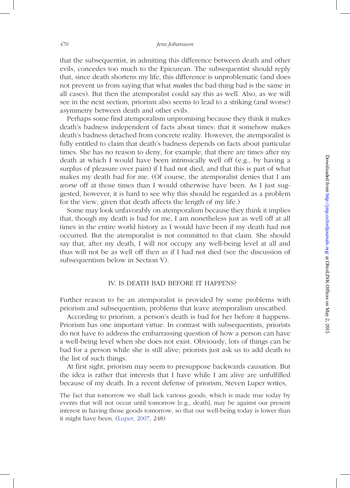that the subsequentist, in admitting this difference between death and other evils, concedes too much to the Epicurean. The subsequentist should reply that, since death shortens my life, this difference is unproblematic (and does not prevent us from saying that what *makes* the bad thing bad is the same in all cases). But then the atemporalist could say this as well. Also, as we will see in the next section, priorism also seems to lead to a striking (and worse) asymmetry between death and other evils.

Perhaps some find atemporalism unpromising because they think it makes death's badness independent of facts about times: that it somehow makes death's badness detached from concrete reality. However, the atemporalist is fully entitled to claim that death's badness depends on facts about particular times. She has no reason to deny, for example, that there are times after my death at which I would have been intrinsically well off (e.g., by having a surplus of pleasure over pain) if I had not died, and that this is part of what makes my death bad for me. (Of course, the atemporalist denies that I am *worse* off at those times than I would otherwise have been. As I just suggested, however, it is hard to see why this should be regarded as a problem for the view, given that death affects the length of my life.)

Some may look unfavorably on atemporalism because they think it implies that, though my death is bad for me, I am nonetheless just as well off at all times in the entire world history as I would have been if my death had not occurred. But the atemporalist is not committed to that claim. She should say that, after my death, I will not occupy any well-being level at all and thus will not be as well off then as if I had not died (see the discussion of subsequentism below in Section V).

## IV. IS DEATH BAD BEFORE IT HAPPENS?

Further reason to be an atemporalist is provided by some problems with priorism and subsequentism, problems that leave atemporalism unscathed.

According to priorism, a person's death is bad for her before it happens. Priorism has one important virtue. In contrast with subsequentists, priorists do not have to address the embarrassing question of how a person can have a well-being level when she does not exist. Obviously, lots of things can be bad for a person while she is still alive; priorists just ask us to add death to the list of such things.

At first sight, priorism may seem to presuppose backwards causation. But the idea is rather that interests that I have while I am alive are unfulfilled because of my death. In a recent defense of priorism, Steven Luper writes,

The fact that tomorrow we shall lack various goods, which is made true today by events that will not occur until tomorrow [e.g., death], may be against our present interest in having those goods tomorrow, so that our well-being today is lower than it might have been. ([Luper, 2007,](#page-14-7) 248)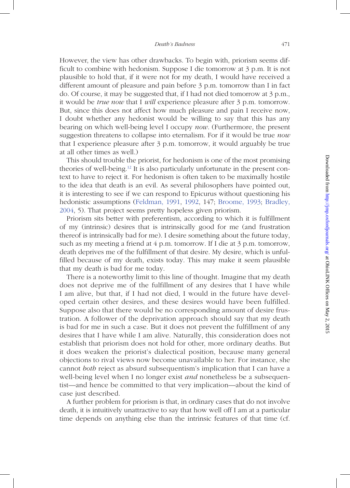However, the view has other drawbacks. To begin with, priorism seems difficult to combine with hedonism. Suppose I die tomorrow at 3 p.m. It is not plausible to hold that, if it were not for my death, I would have received a different amount of pleasure and pain before 3 p.m. tomorrow than I in fact do. Of course, it may be suggested that, if I had not died tomorrow at 3 p.m., it would be *true now* that I *will* experience pleasure after 3 p.m. tomorrow. But, since this does not affect how much pleasure and pain I receive now, I doubt whether any hedonist would be willing to say that this has any bearing on which well-being level I occupy *now*. (Furthermore, the present suggestion threatens to collapse into eternalism. For if it would be true *now* that I experience pleasure after 3 p.m. tomorrow, it would arguably be true at all other times as well.)

This should trouble the priorist, for hedonism is one of the most promising theories of well-being.[12](#page-13-11) It is also particularly unfortunate in the present context to have to reject it. For hedonism is often taken to be maximally hostile to the idea that death is an evil. As several philosophers have pointed out, it is interesting to see if we can respond to Epicurus without questioning his hedonistic assumptions ([Feldman, 1991](#page-14-1), [1992](#page-14-18), 147; [Broome, 1993](#page-14-2); [Bradley,](#page-14-10)  [2004,](#page-14-10) 5). That project seems pretty hopeless given priorism.

Priorism sits better with preferentism, according to which it is fulfillment of my (intrinsic) desires that is intrinsically good for me (and frustration thereof is intrinsically bad for me). I desire something about the future today, such as my meeting a friend at 4 p.m. tomorrow. If I die at 3 p.m. tomorrow, death deprives me of the fulfillment of that desire. My desire, which is unfulfilled because of my death, exists today. This may make it seem plausible that my death is bad for me today.

There is a noteworthy limit to this line of thought. Imagine that my death does not deprive me of the fulfillment of any desires that I have while I am alive, but that, if I had not died, I would in the future have developed certain other desires, and these desires would have been fulfilled. Suppose also that there would be no corresponding amount of desire frustration. A follower of the deprivation approach should say that my death is bad for me in such a case. But it does not prevent the fulfillment of any desires that I have while I am alive. Naturally, this consideration does not establish that priorism does not hold for other, more ordinary deaths. But it does weaken the priorist's dialectical position, because many general objections to rival views now become unavailable to her. For instance, she cannot *both* reject as absurd subsequentism's implication that I can have a well-being level when I no longer exist *and* nonetheless be a subsequentist—and hence be committed to that very implication—about the kind of case just described.

A further problem for priorism is that, in ordinary cases that do not involve death, it is intuitively unattractive to say that how well off I am at a particular time depends on anything else than the intrinsic features of that time (cf.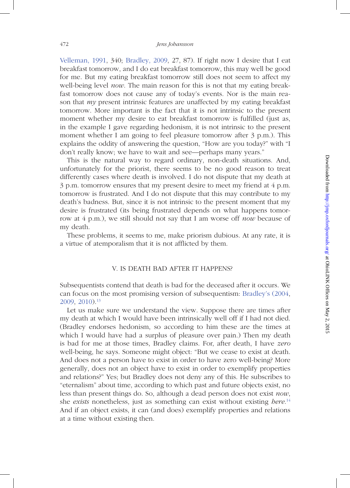[Velleman, 1991,](#page-15-0) 340; [Bradley, 2009](#page-14-11), 27, 87). If right now I desire that I eat breakfast tomorrow, and I do eat breakfast tomorrow, this may well be good for me. But my eating breakfast tomorrow still does not seem to affect my well-being level *now*. The main reason for this is not that my eating breakfast tomorrow does not cause any of today's events. Nor is the main reason that *my* present intrinsic features are unaffected by my eating breakfast tomorrow. More important is the fact that it is not intrinsic to the present moment whether my desire to eat breakfast tomorrow is fulfilled (just as, in the example I gave regarding hedonism, it is not intrinsic to the present moment whether I am going to feel pleasure tomorrow after 3 p.m.). This explains the oddity of answering the question, "How are you today?" with "I don't really know; we have to wait and see—perhaps many years."

This is the natural way to regard ordinary, non-death situations. And, unfortunately for the priorist, there seems to be no good reason to treat differently cases where death is involved. I do not dispute that my death at 3 p.m. tomorrow ensures that my present desire to meet my friend at 4 p.m. tomorrow is frustrated. And I do not dispute that this may contribute to my death's badness. But, since it is not intrinsic to the present moment that my desire is frustrated (its being frustrated depends on what happens tomorrow at 4 p.m.), we still should not say that I am worse off *now* because of my death.

These problems, it seems to me, make priorism dubious. At any rate, it is a virtue of atemporalism that it is not afflicted by them.

## V. IS DEATH BAD AFTER IT HAPPENS?

Subsequentists contend that death is bad for the deceased after it occurs. We can focus on the most promising version of subsequentism: [Bradley's \(2004,](#page-14-10) [2009,](#page-14-11) [2010\)](#page-14-12).[13](#page-13-12)

Let us make sure we understand the view. Suppose there are times after my death at which I would have been intrinsically well off if I had not died. (Bradley endorses hedonism, so according to him these are the times at which I would have had a surplus of pleasure over pain.) Then my death is bad for me at those times, Bradley claims. For, after death, I have *zero* well-being, he says. Someone might object: "But we cease to exist at death. And does not a person have to exist in order to have zero well-being? More generally, does not an object have to exist in order to exemplify properties and relations?" Yes; but Bradley does not deny any of this. He subscribes to "eternalism" about time, according to which past and future objects exist, no less than present things do. So, although a dead person does not exist *now*, she *exists* nonetheless, just as something can exist without existing *here*. [14](#page-13-13) And if an object exists, it can (and does) exemplify properties and relations at a time without existing then.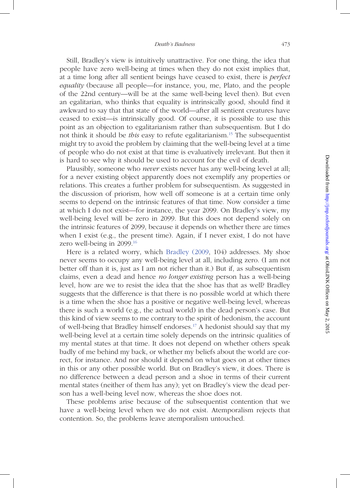Still, Bradley's view is intuitively unattractive. For one thing, the idea that people have zero well-being at times when they do not exist implies that, at a time long after all sentient beings have ceased to exist, there is *perfect equality* (because all people—for instance, you, me, Plato, and the people of the 22nd century—will be at the same well-being level then). But even an egalitarian, who thinks that equality is intrinsically good, should find it awkward to say that that state of the world—after all sentient creatures have ceased to exist—is intrinsically good. Of course, it is possible to use this point as an objection to egalitarianism rather than subsequentism. But I do not think it should be *this* easy to refute egalitarianism[.15](#page-13-14) The subsequentist might try to avoid the problem by claiming that the well-being level at a time of people who do not exist at that time is evaluatively irrelevant. But then it is hard to see why it should be used to account for the evil of death.

Plausibly, someone who *never* exists never has any well-being level at all; for a never existing object apparently does not exemplify any properties or relations. This creates a further problem for subsequentism. As suggested in the discussion of priorism, how well off someone is at a certain time only seems to depend on the intrinsic features of that time. Now consider a time at which I do not exist—for instance, the year 2099. On Bradley's view, my well-being level will be zero in 2099. But this does not depend solely on the intrinsic features of 2099, because it depends on whether there are times when I exist (e.g., the present time). Again, if I never exist, I do not have zero well-being in 2099.[16](#page-13-15)

Here is a related worry, which [Bradley \(2009,](#page-14-11) 104) addresses. My shoe never seems to occupy any well-being level at all, including zero. (I am not better off than it is, just as I am not richer than it.) But if, as subsequentism claims, even a dead and hence *no longer existing* person has a well-being level, how are we to resist the idea that the shoe has that as well? Bradley suggests that the difference is that there is no possible world at which there is a time when the shoe has a positive or negative well-being level, whereas there is such a world (e.g., the actual world) in the dead person's case. But this kind of view seems to me contrary to the spirit of hedonism, the account of well-being that Bradley himself endorses.[17](#page-13-16) A hedonist should say that my well-being level at a certain time solely depends on the intrinsic qualities of my mental states at that time. It does not depend on whether others speak badly of me behind my back, or whether my beliefs about the world are correct, for instance. And nor should it depend on what goes on at other times in this or any other possible world. But on Bradley's view, it does. There is no difference between a dead person and a shoe in terms of their current mental states (neither of them has any); yet on Bradley's view the dead person has a well-being level now, whereas the shoe does not.

These problems arise because of the subsequentist contention that we have a well-being level when we do not exist. Atemporalism rejects that contention. So, the problems leave atemporalism untouched.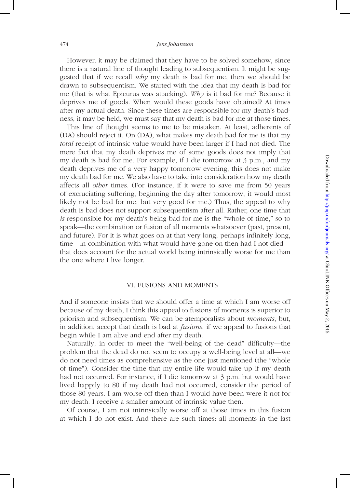However, it may be claimed that they have to be solved somehow, since there is a natural line of thought leading to subsequentism. It might be suggested that if we recall *why* my death is bad for me, then we should be drawn to subsequentism. We started with the idea that my death is bad for me (that is what Epicurus was attacking). *Why* is it bad for me? Because it deprives me of goods. When would these goods have obtained? At times after my actual death. Since these times are responsible for my death's badness, it may be held, we must say that my death is bad for me at those times.

This line of thought seems to me to be mistaken. At least, adherents of (DA) should reject it. On (DA), what makes my death bad for me is that my *total* receipt of intrinsic value would have been larger if I had not died. The mere fact that my death deprives me of some goods does not imply that my death is bad for me. For example, if I die tomorrow at 3 p.m., and my death deprives me of a very happy tomorrow evening, this does not make my death bad for me. We also have to take into consideration how my death affects all *other* times. (For instance, if it were to save me from 50 years of excruciating suffering, beginning the day after tomorrow, it would most likely not be bad for me, but very good for me.) Thus, the appeal to why death is bad does not support subsequentism after all. Rather, one time that *is* responsible for my death's being bad for me is the "whole of time," so to speak—the combination or fusion of all moments whatsoever (past, present, and future). For it is what goes on at that very long, perhaps infinitely long, time—in combination with what would have gone on then had I not died that does account for the actual world being intrinsically worse for me than the one where I live longer.

#### VI. FUSIONS AND MOMENTS

And if someone insists that we should offer a time at which I am worse off because of my death, I think this appeal to fusions of moments is superior to priorism and subsequentism. We can be atemporalists about *moments*, but, in addition, accept that death is bad at *fusions*, if we appeal to fusions that begin while I am alive and end after my death.

Naturally, in order to meet the "well-being of the dead" difficulty—the problem that the dead do not seem to occupy a well-being level at all—we do not need times as comprehensive as the one just mentioned (the "whole of time"). Consider the time that my entire life would take up if my death had not occurred. For instance, if I die tomorrow at 3 p.m. but would have lived happily to 80 if my death had not occurred, consider the period of those 80 years. I am worse off then than I would have been were it not for my death. I receive a smaller amount of intrinsic value then.

Of course, I am not intrinsically worse off at those times in this fusion at which I do not exist. And there are such times: all moments in the last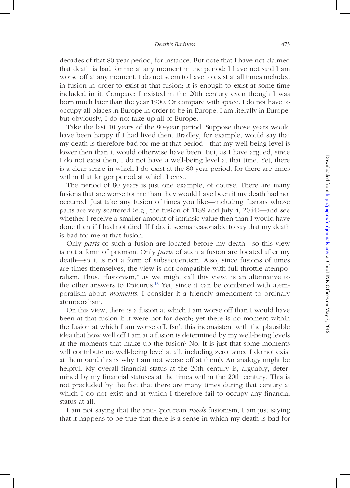decades of that 80-year period, for instance. But note that I have not claimed that death is bad for me at any moment in the period; I have not said I am worse off at any moment. I do not seem to have to exist at all times included in fusion in order to exist at that fusion; it is enough to exist at some time included in it. Compare: I existed in the 20th century even though I was born much later than the year 1900. Or compare with space: I do not have to occupy all places in Europe in order to be in Europe. I am literally in Europe, but obviously, I do not take up all of Europe.

Take the last 10 years of the 80-year period. Suppose those years would have been happy if I had lived then. Bradley, for example, would say that my death is therefore bad for me at that period—that my well-being level is lower then than it would otherwise have been. But, as I have argued, since I do not exist then, I do not have a well-being level at that time. Yet, there is a clear sense in which I do exist at the 80-year period, for there are times within that longer period at which I exist.

The period of 80 years is just one example, of course. There are many fusions that are worse for me than they would have been if my death had not occurred. Just take any fusion of times you like—including fusions whose parts are very scattered (e.g., the fusion of 1189 and July 4, 2044)—and see whether I receive a smaller amount of intrinsic value then than I would have done then if I had not died. If I do, it seems reasonable to say that my death is bad for me at that fusion.

Only *parts* of such a fusion are located before my death—so this view is not a form of priorism. Only *parts* of such a fusion are located after my death—so it is not a form of subsequentism. Also, since fusions of times are times themselves, the view is not compatible with full throttle atemporalism. Thus, "fusionism," as we might call this view, is an alternative to the other answers to Epicurus[.18](#page-13-17) Yet, since it can be combined with atemporalism about *moments*, I consider it a friendly amendment to ordinary atemporalism.

On this view, there is a fusion at which I am worse off than I would have been at that fusion if it were not for death; yet there is no moment within the fusion at which I am worse off. Isn't this inconsistent with the plausible idea that how well off I am at a fusion is determined by my well-being levels at the moments that make up the fusion? No. It is just that some moments will contribute no well-being level at all, including zero, since I do not exist at them (and this is why I am not worse off at them). An analogy might be helpful. My overall financial status at the 20th century is, arguably, determined by my financial statuses at the times within the 20th century. This is not precluded by the fact that there are many times during that century at which I do not exist and at which I therefore fail to occupy any financial status at all.

I am not saying that the anti-Epicurean *needs* fusionism; I am just saying that it happens to be true that there is a sense in which my death is bad for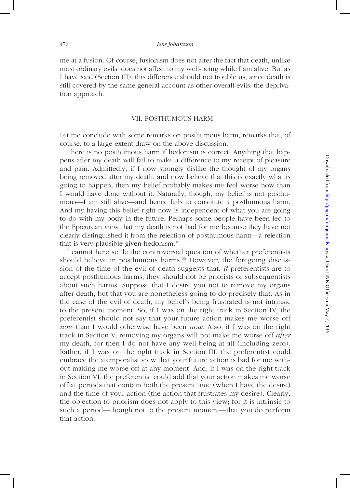me at a fusion. Of course, fusionism does not alter the fact that death, unlike most ordinary evils, does not affect to my well-being while I am alive. But as I have said (Section III), this difference should not trouble us, since death is still covered by the same general account as other overall evils: the deprivation approach.

#### VII. POSTHUMOUS HARM

Let me conclude with some remarks on posthumous harm, remarks that, of course, to a large extent draw on the above discussion.

There is no posthumous harm if hedonism is correct. Anything that happens after my death will fail to make a difference to my receipt of pleasure and pain. Admittedly, if I now strongly dislike the thought of my organs being removed after my death, and now believe that this is exactly what is going to happen, then my belief probably makes me feel worse now than I would have done without it. Naturally, though, my belief is not posthumous—I am still alive—and hence fails to constitute a posthumous harm. And my having this belief right now is independent of what you are going to do with my body in the future. Perhaps some people have been led to the Epicurean view that my death is not bad for me because they have not clearly distinguished it from the rejection of posthumous harm—a rejection that is very plausible given hedonism.[19](#page-13-18)

I cannot here settle the controversial question of whether preferentists should believe in posthumous harms.<sup>20</sup> However, the foregoing discussion of the time of the evil of death suggests that, *if* preferentists are to accept posthumous harms, they should not be priorists or subsequentists about such harms. Suppose that I desire you not to remove my organs after death, but that you are nonetheless going to do precisely that. As in the case of the evil of death, my belief's being frustrated is not intrinsic to the present moment. So, if I was on the right track in Section IV, the preferentist should not say that your future action makes me worse off *now* than I would otherwise have been *now*. Also, if I was on the right track in Section V, removing my organs will not make me worse off *after* my death, for then I do not have any well-being at all (including zero). Rather, if I was on the right track in Section III, the preferentist could embrace the atemporalist view that your future action is bad for me without making me worse off at any moment. And, if I was on the right track in Section VI, the preferentist could add that your action makes me worse off at periods that contain both the present time (when I have the desire) and the time of your action (the action that frustrates my desire). Clearly, the objection to priorism does not apply to this view; for it is intrinsic to such a period—though not to the present moment—that you do perform that action.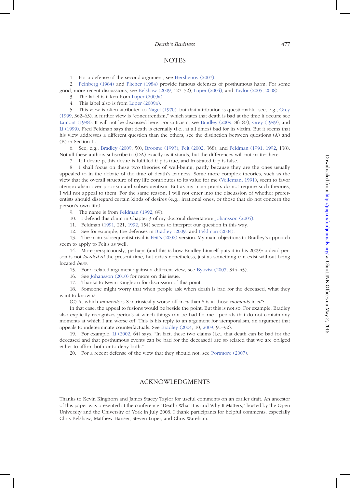#### **NOTES**

<span id="page-13-1"></span><span id="page-13-0"></span>1. For a defense of the second argument, see [Hershenov \(2007\)](#page-14-19).

2. [Feinberg \(1984\)](#page-14-4) and [Pitcher \(1984\)](#page-14-5) provide famous defenses of posthumous harm. For some good, more recent discussions, see [Belshaw \(2009,](#page-14-17) 127–52), [Luper \(2004\),](#page-14-20) and [Taylor \(2005,](#page-15-1) [2008](#page-15-2)).

<span id="page-13-2"></span>3. The label is taken from [Luper \(2009a\).](#page-14-21)

<span id="page-13-6"></span><span id="page-13-5"></span><span id="page-13-4"></span><span id="page-13-3"></span>4. This label also is from [Luper \(2009a\).](#page-14-21)

5. This view is often attributed to [Nagel \(1970\),](#page-14-22) but that attribution is questionable: see, e.g., [Grey](#page-14-13) [\(1999,](#page-14-13) 362–63). A further view is "concurrentism," which states that death is bad at the time it occurs: see [Lamont \(1998\)](#page-14-16). It will not be discussed here. For criticism, see [Bradley \(2009](#page-14-11), 86–87), [Grey \(1999](#page-14-13)), and [Li \(1999\)](#page-14-6). Fred Feldman says that death is eternally (i.e., at all times) bad for its victim. But it seems that his view addresses a different question than the others; see the distinction between questions (A) and (B) in Section II.

6. See, e.g., [Bradley \(2009](#page-14-11), 50), [Broome \(1993\)](#page-14-2), [Feit \(2002,](#page-14-9) 368), and [Feldman \(1991,](#page-14-1) [1992,](#page-14-18) 138). Not all these authors subscribe to (DA) exactly as it stands, but the differences will not matter here.

<span id="page-13-9"></span><span id="page-13-8"></span><span id="page-13-7"></span>7. If I desire p, this desire is fulfilled if p is true, and frustrated if p is false.

8. I shall focus on these two theories of well-being, partly because they are the ones usually appealed to in the debate of the time of death's badness. Some more complex theories, such as the view that the overall structure of my life contributes to its value for me [\(Velleman, 1991](#page-15-0)), seem to favor atemporalism over priorism and subsequentism. But as my main points do not require such theories, I will not appeal to them. For the same reason, I will not enter into the discussion of whether preferentists should disregard certain kinds of desires (e.g., irrational ones, or those that do not concern the person's own life).

<span id="page-13-10"></span>9. The name is from [Feldman \(1992,](#page-14-18) 89).

- <span id="page-13-11"></span>10. I defend this claim in Chapter 3 of my doctoral dissertation: [Johansson \(2005\)](#page-14-23).
- <span id="page-13-12"></span>11. Feldman [\(1991](#page-14-1), 221, [1992](#page-14-18), 154) seems to interpret our question in this way.

<span id="page-13-14"></span><span id="page-13-13"></span>12. See for example, the defenses in [Bradley \(2009\)](#page-14-11) and [Feldman \(2004\).](#page-14-24)

13. The main subsequentist rival is [Feit's \(2002\)](#page-14-9) version. My main objections to Bradley's approach seem to apply to Feit's as well.

<span id="page-13-15"></span>14. More perspicuously, perhaps (and this is how Bradley himself puts it in his 2009): a dead person is not *located at* the present time, but exists nonetheless, just as something can exist without being located *here*.

<span id="page-13-16"></span>15. For a related argument against a different view, see [Bykvist \(2007,](#page-14-25) 344–45).

<span id="page-13-17"></span>16. See [Johansson \(2010\)](#page-14-26) for more on this issue.

<span id="page-13-19"></span><span id="page-13-18"></span>17. Thanks to Kevin Kinghorn for discussion of this point.

18. Someone might worry that when people ask when death is bad for the deceased, what they want to know is:

(C) At which *moments* is S intrinsically worse off in *w* than S is at those *moments* in *w*\*?

In that case, the appeal to fusions would be beside the point. But this is not so. For example, Bradley also explicitly recognizes periods at which things can be bad for me—periods that do not contain any moments at which I am worse off. This is his reply to an argument for atemporalism, an argument that appeals to indeterminate counterfactuals. See [Bradley \(2004,](#page-14-10) 10, [2009,](#page-14-11) 91–92).

19. For example, [Li \(2002](#page-14-27), 64) says, "In fact, these two claims (i.e., that death can be bad for the deceased and that posthumous events can be bad for the deceased) are so related that we are obliged either to affirm both or to deny both."

20. For a recent defense of the view that they should not, see [Portmore \(2007\).](#page-15-3)

## Acknowledgments

Thanks to Kevin Kinghorn and James Stacey Taylor for useful comments on an earlier draft. An ancestor of this paper was presented at the conference "Death: What It is and Why It Matters," hosted by the Open University and the University of York in July 2008. I thank participants for helpful comments, especially Chris Belshaw, Matthew Hanser, Steven Luper, and Chris Wareham.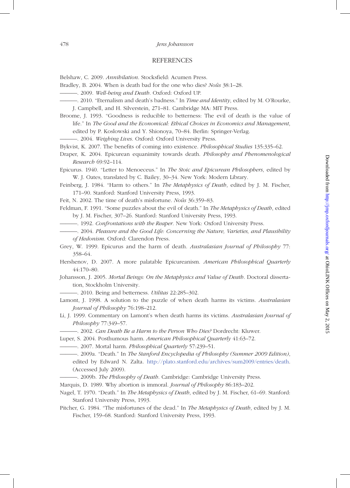#### **REFERENCES**

- <span id="page-14-17"></span>Belshaw, C. 2009. *Annihilation*. Stocksfield: Acumen Press.
- <span id="page-14-10"></span>Bradley, B. 2004. When is death bad for the one who dies? *Noûs* 38:1–28.
- <span id="page-14-11"></span>———. 2009. *Well-being and Death*. Oxford: Oxford UP.
- <span id="page-14-12"></span>———. 2010. "Eternalism and death's badness." In *Time and Identity*, edited by M. O'Rourke, J. Campbell, and H. Silverstein, 271–81. Cambridge MA: MIT Press.
- <span id="page-14-2"></span>Broome, J. 1993. "Goodness is reducible to betterness: The evil of death is the value of life." In *The Good and the Economical: Ethical Choices in Economics and Management*, edited by P. Koslowski and Y. Shionoya, 70–84. Berlin: Springer-Verlag.
	- ———. 2004. *Weighing Lives*. Oxford: Oxford University Press.
- <span id="page-14-25"></span><span id="page-14-14"></span>Bykvist, K. 2007. The benefits of coming into existence. *Philosophical Studies* 135:335–62.
- <span id="page-14-15"></span>Draper, K. 2004. Epicurean equanimity towards death. *Philosophy and Phenomenological Research* 69:92–114.
- <span id="page-14-0"></span>Epicurus. 1940. "Letter to Menoeceus." In *The Stoic and Epicurean Philosophers*, edited by W. J. Oates, translated by C. Bailey, 30–34. New York: Modern Library.
- <span id="page-14-4"></span>Feinberg, J. 1984. "Harm to others." In *The Metaphysics of Death*, edited by J. M. Fischer, 171–90. Stanford: Stanford University Press, 1993.
- <span id="page-14-9"></span>Feit, N. 2002. The time of death's misfortune. *Noûs* 36:359–83.
- <span id="page-14-1"></span>Feldman, F. 1991. "Some puzzles about the evil of death." In *The Metaphysics of Death*, edited by J. M. Fischer, 307–26. Stanford: Stanford University Press, 1993.
	- ———. 1992. *Confrontations with the Reaper*. New York: Oxford University Press.
- <span id="page-14-24"></span><span id="page-14-18"></span>———. 2004. *Pleasure and the Good Life: Concerning the Nature, Varieties, and Plausibility of Hedonism*. Oxford: Clarendon Press.
- <span id="page-14-13"></span>Grey, W. 1999. Epicurus and the harm of death. *Australasian Journal of Philosophy* 77: 358–64.
- <span id="page-14-19"></span>Hershenov, D. 2007. A more palatable Epicureanism. *American Philosophical Quarterly* 44:170–80.
- <span id="page-14-23"></span>Johansson, J. 2005. *Mortal Beings: On the Metaphysics and Value of Death*. Doctoral dissertation, Stockholm University.

<span id="page-14-26"></span>———. 2010. Being and betterness. *Utilitas* 22:285–302.

- <span id="page-14-16"></span>Lamont, J. 1998. A solution to the puzzle of when death harms its victims. *Australasian Journal of Philosophy* 76:198–212.
- <span id="page-14-6"></span>Li, J. 1999. Commentary on Lamont's when death harms its victims. *Australasian Journal of Philosophy* 77:349–57.
	- ———. 2002. *Can Death Be a Harm to the Person Who Dies?* Dordrecht: Kluwer.
- <span id="page-14-27"></span><span id="page-14-20"></span>Luper, S. 2004. Posthumous harm. *American Philosophical Quarterly* 41:63–72.

<span id="page-14-7"></span>———. 2007. Mortal harm. *Philosophical Quarterly* 57:239–51.

- <span id="page-14-21"></span>———. 2009a. "Death." In *The Stanford Encyclopedia of Philosophy (Summer 2009 Edition)*, edited by Edward N. Zalta. <http://plato.stanford.edu/archives/sum2009/entries/death>. (Accessed July 2009).
	- ———. 2009b. *The Philosophy of Death*. Cambridge: Cambridge University Press.
- <span id="page-14-8"></span><span id="page-14-3"></span>Marquis, D. 1989. Why abortion is immoral. *Journal of Philosophy* 86:183–202.
- <span id="page-14-22"></span>Nagel, T. 1970. "Death." In *The Metaphysics of Death*, edited by J. M. Fischer, 61–69. Stanford: Stanford University Press, 1993.
- <span id="page-14-5"></span>Pitcher, G. 1984. "The misfortunes of the dead." In *The Metaphysics of Death*, edited by J. M. Fischer, 159–68. Stanford: Stanford University Press, 1993.